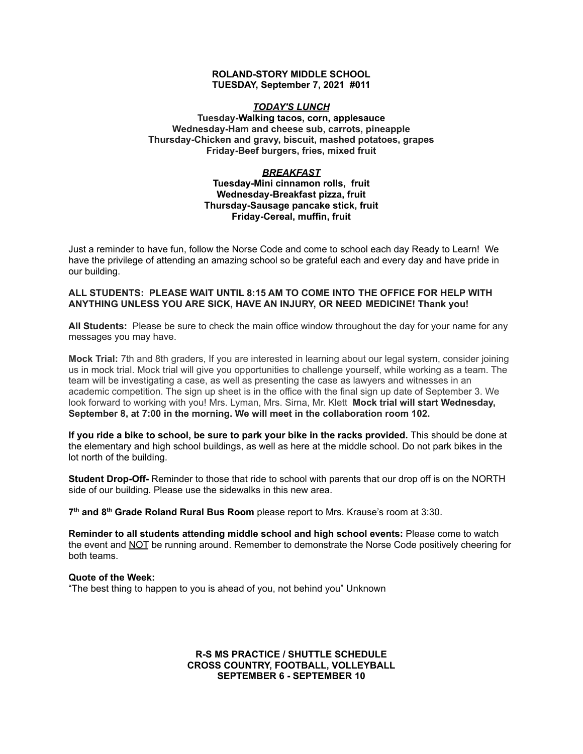#### **ROLAND-STORY MIDDLE SCHOOL TUESDAY, September 7, 2021 #011**

### *TODAY'S LUNCH*

### **Tuesday-Walking tacos, corn, applesauce Wednesday-Ham and cheese sub, carrots, pineapple Thursday-Chicken and gravy, biscuit, mashed potatoes, grapes Friday-Beef burgers, fries, mixed fruit**

#### *BREAKFAST*

#### **Tuesday-Mini cinnamon rolls, fruit Wednesday-Breakfast pizza, fruit Thursday-Sausage pancake stick, fruit Friday-Cereal, muffin, fruit**

Just a reminder to have fun, follow the Norse Code and come to school each day Ready to Learn! We have the privilege of attending an amazing school so be grateful each and every day and have pride in our building.

### **ALL STUDENTS: PLEASE WAIT UNTIL 8:15 AM TO COME INTO THE OFFICE FOR HELP WITH ANYTHING UNLESS YOU ARE SICK, HAVE AN INJURY, OR NEED MEDICINE! Thank you!**

**All Students:** Please be sure to check the main office window throughout the day for your name for any messages you may have.

**Mock Trial:** 7th and 8th graders, If you are interested in learning about our legal system, consider joining us in mock trial. Mock trial will give you opportunities to challenge yourself, while working as a team. The team will be investigating a case, as well as presenting the case as lawyers and witnesses in an academic competition. The sign up sheet is in the office with the final sign up date of September 3. We look forward to working with you! Mrs. Lyman, Mrs. Sirna, Mr. Klett **Mock trial will start Wednesday, September 8, at 7:00 in the morning. We will meet in the collaboration room 102.**

**If you ride a bike to school, be sure to park your bike in the racks provided.** This should be done at the elementary and high school buildings, as well as here at the middle school. Do not park bikes in the lot north of the building.

**Student Drop-Off-** Reminder to those that ride to school with parents that our drop off is on the NORTH side of our building. Please use the sidewalks in this new area.

**7 th and 8 th Grade Roland Rural Bus Room** please report to Mrs. Krause's room at 3:30.

**Reminder to all students attending middle school and high school events:** Please come to watch the event and NOT be running around. Remember to demonstrate the Norse Code positively cheering for both teams.

#### **Quote of the Week:**

"The best thing to happen to you is ahead of you, not behind you" Unknown

## **R-S MS PRACTICE / SHUTTLE SCHEDULE CROSS COUNTRY, FOOTBALL, VOLLEYBALL SEPTEMBER 6 - SEPTEMBER 10**